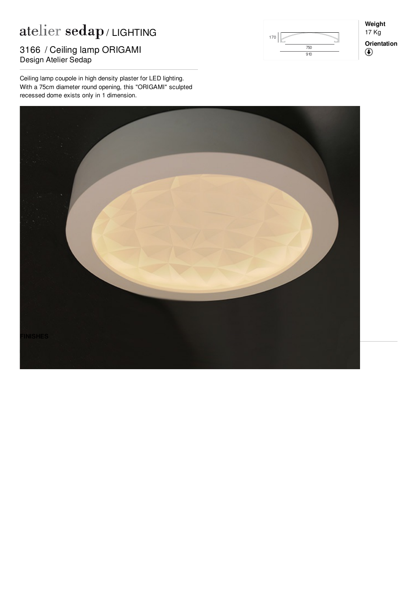## $\mathop{\rm at}\nolimits$ elier  $\mathop{\rm sedap}\nolimits$  / LIGHTING

## 3166 / Ceiling lamp ORIGAMI<br>Design Atelier Seden Design Atelier Sedap

Ceiling lamp coupole in high density plaster for LED lighting. With a 75cm diameter round opening, this "ORIGAMI" sculpted recessed dome exists only in 1 dimension.



**Weight** 17 Kg **Orientation** $^\circledR$